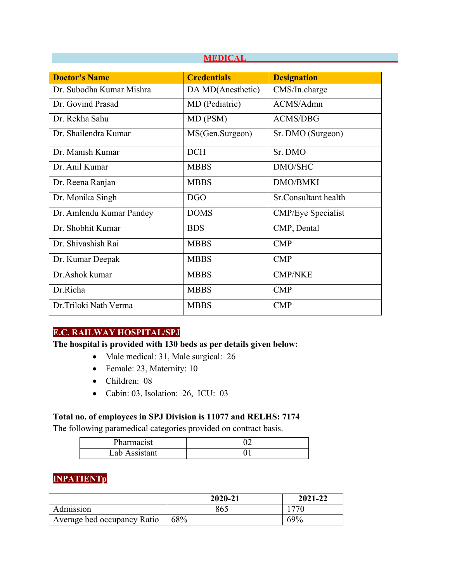| <b>Doctor's Name</b>     | <b>Credentials</b> | <b>Designation</b>        |  |  |  |  |
|--------------------------|--------------------|---------------------------|--|--|--|--|
| Dr. Subodha Kumar Mishra | DA MD(Anesthetic)  | CMS/In.charge             |  |  |  |  |
| Dr. Govind Prasad        | MD (Pediatric)     | ACMS/Admn                 |  |  |  |  |
| Dr. Rekha Sahu           | MD (PSM)           | <b>ACMS/DBG</b>           |  |  |  |  |
| Dr. Shailendra Kumar     | MS(Gen.Surgeon)    | Sr. DMO (Surgeon)         |  |  |  |  |
| Dr. Manish Kumar         | DCH                | Sr. DMO                   |  |  |  |  |
| Dr. Anil Kumar           | <b>MBBS</b>        | DMO/SHC                   |  |  |  |  |
| Dr. Reena Ranjan         | <b>MBBS</b>        | <b>DMO/BMKI</b>           |  |  |  |  |
| Dr. Monika Singh         | <b>DGO</b>         | Sr.Consultant health      |  |  |  |  |
| Dr. Amlendu Kumar Pandey | <b>DOMS</b>        | <b>CMP/Eye Specialist</b> |  |  |  |  |
| Dr. Shobhit Kumar        | <b>BDS</b>         | CMP, Dental               |  |  |  |  |
| Dr. Shivashish Rai       | <b>MBBS</b>        | $\mathbf{CMP}$            |  |  |  |  |
| Dr. Kumar Deepak         | <b>MBBS</b>        | $\mathbf{CMP}$            |  |  |  |  |
| Dr.Ashok kumar           | <b>MBBS</b>        | <b>CMP/NKE</b>            |  |  |  |  |
| Dr.Richa                 | <b>MBBS</b>        | <b>CMP</b>                |  |  |  |  |
| Dr. Triloki Nath Verma   | <b>MBBS</b>        | <b>CMP</b>                |  |  |  |  |

 **MEDICAL**

### **E.C. RAILWAY HOSPITAL/SPJ**

#### **The hospital is provided with 130 beds as per details given below:**

- Male medical: 31, Male surgical: 26
- Female: 23, Maternity: 10
- Children: 08
- Cabin: 03, Isolation: 26, ICU: 03

#### **Total no. of employees in SPJ Division is 11077 and RELHS: 7174**

The following paramedical categories provided on contract basis.

| ית<br>'harmacıst |  |
|------------------|--|
| Lab Assistant    |  |

### **INPATIENTp**

|                             | 2020-21    | 2021-22    |
|-----------------------------|------------|------------|
| Admission                   | 865        |            |
| Average bed occupancy Ratio | <b>68%</b> | <b>69%</b> |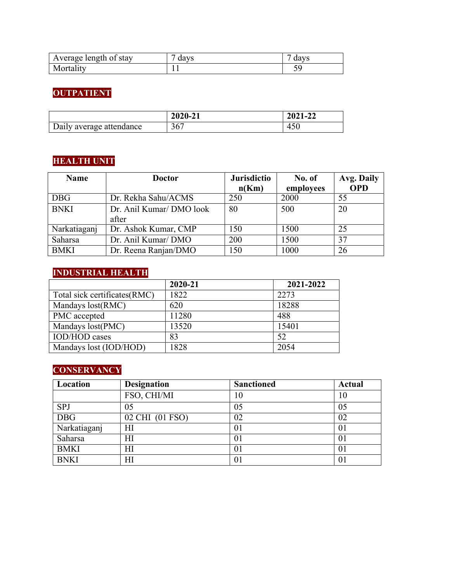| Average length of stay | davs | davs |
|------------------------|------|------|
| Mortality              |      |      |

# **OUTPATIENT**

|                          | 2020-21 | 2021-22 |
|--------------------------|---------|---------|
| Daily average attendance | 367     | 450     |

# **HEALTH UNIT**

| <b>Name</b>  | <b>Doctor</b>            | <b>Jurisdictio</b> | No. of    | Avg. Daily |
|--------------|--------------------------|--------------------|-----------|------------|
|              |                          | n(Km)              | employees | <b>OPD</b> |
| <b>DBG</b>   | Dr. Rekha Sahu/ACMS      | 250                | 2000      | 55         |
| <b>BNKI</b>  | Dr. Anil Kumar/ DMO look | 80                 | 500       | 20         |
|              | after                    |                    |           |            |
| Narkatiaganj | Dr. Ashok Kumar, CMP     | 150                | 1500      | 25         |
| Saharsa      | Dr. Anil Kumar/DMO       | 200                | 1500      | 37         |
| <b>BMKI</b>  | Dr. Reena Ranjan/DMO     | 150                | 1000      | 26         |

# **INDUSTRIAL HEALTH**

|                               | 2020-21 | 2021-2022 |
|-------------------------------|---------|-----------|
| Total sick certificates (RMC) | 1822    | 2273      |
| Mandays lost(RMC)             | 620     | 18288     |
| PMC accepted                  | 11280   | 488       |
| Mandays lost(PMC)             | 13520   | 15401     |
| <b>IOD/HOD</b> cases          | 83      | 52        |
| Mandays lost (IOD/HOD)        | 1828    | 2054      |

# **CONSERVANCY**

| Location         | <b>Sanctioned</b><br><b>Designation</b> |    | <b>Actual</b> |  |
|------------------|-----------------------------------------|----|---------------|--|
|                  | FSO, CHI/MI                             | 10 | 10            |  |
| <b>SPJ</b>       | 05                                      | 05 | 05            |  |
| $\overline{DBG}$ | 02 CHI (01 FSO)                         | 02 | 02            |  |
| Narkatiaganj     | ΗΙ                                      | 01 | 01            |  |
| Saharsa          | ΗΙ                                      | 01 | 01            |  |
| <b>BMKI</b>      | HI                                      | 01 | 01            |  |
| <b>BNKI</b>      | ΗΙ                                      | 01 | 01            |  |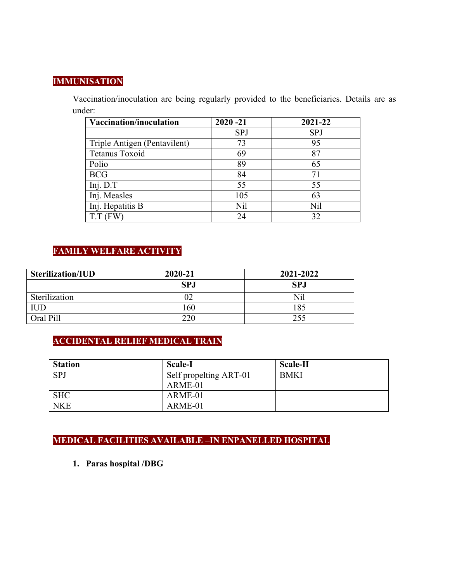#### **IMMUNISATION**

Vaccination/inoculation are being regularly provided to the beneficiaries. Details are as under:

| Vaccination/inoculation      | $2020 - 21$ | 2021-22 |
|------------------------------|-------------|---------|
|                              | <b>SPJ</b>  | SPJ     |
| Triple Antigen (Pentavilent) | 73          | 95      |
| Tetanus Toxoid               | 69          | 87      |
| Polio                        | 89          | 65      |
| <b>BCG</b>                   | 84          | 71      |
| Inj. D.T                     | 55          | 55      |
| Inj. Measles                 | 105         | 63      |
| Inj. Hepatitis B             | Nil         | Nil     |
| $T.T$ (FW                    | 24          | 32      |

### **FAMILY WELFARE ACTIVITY**

| <b>Sterilization/IUD</b> | 2020-21    | 2021-2022  |
|--------------------------|------------|------------|
|                          | <b>SPJ</b> | <b>SPJ</b> |
| Sterilization            |            | Nil        |
| <b>IUD</b>               | 160        | 185        |
| Oral Pill                | 220        | 255        |

# **ACCIDENTAL RELIEF MEDICAL TRAIN**

| <b>Station</b> | <b>Scale-I</b>                    | <b>Scale-II</b> |
|----------------|-----------------------------------|-----------------|
| <b>SPJ</b>     | Self propelting ART-01<br>ARME-01 | <b>BMKI</b>     |
| <b>SHC</b>     | ARME-01                           |                 |
| <b>NKE</b>     | ARME-01                           |                 |

# **MEDICAL FACILITIES AVAILABLE –IN ENPANELLED HOSPITAL**

**1. Paras hospital /DBG**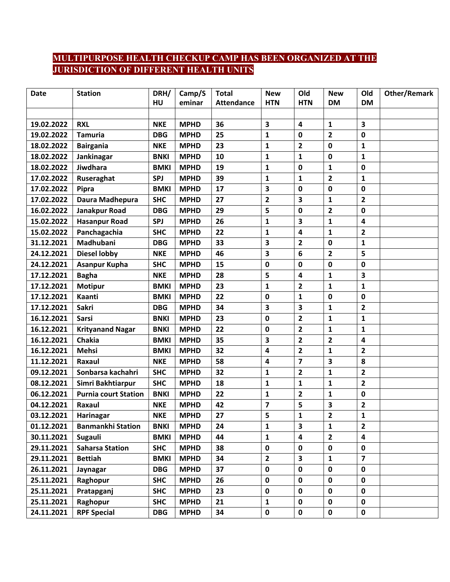# **MULTIPURPOSE HEALTH CHECKUP CAMP HAS BEEN ORGANIZED AT THE JURISDICTION OF DIFFERENT HEALTH UNITS**

| <b>Date</b> | <b>Station</b>              | DRH/        | Camp/S      | <b>Total</b>      | <b>New</b>              | Old                     | <b>New</b>              | Old                     | <b>Other/Remark</b> |
|-------------|-----------------------------|-------------|-------------|-------------------|-------------------------|-------------------------|-------------------------|-------------------------|---------------------|
|             |                             | HU          | eminar      | <b>Attendance</b> | <b>HTN</b>              | <b>HTN</b>              | <b>DM</b>               | <b>DM</b>               |                     |
|             |                             |             |             |                   |                         |                         |                         |                         |                     |
| 19.02.2022  | <b>RXL</b>                  | <b>NKE</b>  | <b>MPHD</b> | 36                | 3                       | 4                       | 1                       | 3                       |                     |
| 19.02.2022  | <b>Tamuria</b>              | <b>DBG</b>  | <b>MPHD</b> | 25                | $\mathbf{1}$            | $\mathbf 0$             | $\overline{2}$          | 0                       |                     |
| 18.02.2022  | <b>Bairgania</b>            | <b>NKE</b>  | <b>MPHD</b> | 23                | $\mathbf{1}$            | $\mathbf{2}$            | 0                       | 1                       |                     |
| 18.02.2022  | Jankinagar                  | <b>BNKI</b> | <b>MPHD</b> | 10                | $\mathbf{1}$            | $\mathbf{1}$            | 0                       | 1                       |                     |
| 18.02.2022  | Jiwdhara                    | <b>BMKI</b> | <b>MPHD</b> | 19                | $\mathbf 1$             | 0                       | $\mathbf{1}$            | 0                       |                     |
| 17.02.2022  | Ruseraghat                  | <b>SPJ</b>  | <b>MPHD</b> | 39                | $\mathbf{1}$            | $\mathbf{1}$            | $\mathbf{2}$            | 1                       |                     |
| 17.02.2022  | Pipra                       | <b>BMKI</b> | <b>MPHD</b> | 17                | 3                       | $\mathbf 0$             | 0                       | 0                       |                     |
| 17.02.2022  | Daura Madhepura             | <b>SHC</b>  | <b>MPHD</b> | 27                | $\mathbf{2}$            | 3                       | 1                       | $\mathbf{2}$            |                     |
| 16.02.2022  | Janakpur Road               | <b>DBG</b>  | <b>MPHD</b> | 29                | 5                       | $\mathbf 0$             | $\overline{\mathbf{2}}$ | 0                       |                     |
| 15.02.2022  | <b>Hasanpur Road</b>        | <b>SPJ</b>  | <b>MPHD</b> | 26                | $\mathbf{1}$            | $\overline{\mathbf{3}}$ | 1                       | 4                       |                     |
| 15.02.2022  | Panchagachia                | <b>SHC</b>  | <b>MPHD</b> | 22                | $\mathbf{1}$            | $\overline{\mathbf{4}}$ | 1                       | 2                       |                     |
| 31.12.2021  | Madhubani                   | <b>DBG</b>  | <b>MPHD</b> | 33                | 3                       | $\mathbf{2}$            | 0                       | 1                       |                     |
| 24.12.2021  | <b>Diesel lobby</b>         | <b>NKE</b>  | <b>MPHD</b> | 46                | 3                       | 6                       | $\overline{2}$          | 5                       |                     |
| 24.12.2021  | Asanpur Kupha               | <b>SHC</b>  | <b>MPHD</b> | 15                | $\pmb{0}$               | 0                       | 0                       | 0                       |                     |
| 17.12.2021  | <b>Bagha</b>                | <b>NKE</b>  | <b>MPHD</b> | 28                | 5                       | $\overline{\mathbf{4}}$ | 1                       | 3                       |                     |
| 17.12.2021  | <b>Motipur</b>              | <b>BMKI</b> | <b>MPHD</b> | 23                | $\mathbf{1}$            | $\overline{2}$          | $\mathbf{1}$            | 1                       |                     |
| 17.12.2021  | Kaanti                      | <b>BMKI</b> | <b>MPHD</b> | 22                | $\mathbf 0$             | $\mathbf{1}$            | 0                       | 0                       |                     |
| 17.12.2021  | Sakri                       | <b>DBG</b>  | <b>MPHD</b> | 34                | 3                       | 3                       | 1                       | $\overline{2}$          |                     |
| 16.12.2021  | <b>Sarsi</b>                | <b>BNKI</b> | <b>MPHD</b> | 23                | $\mathbf 0$             | $\overline{2}$          | 1                       | 1                       |                     |
| 16.12.2021  | <b>Krityanand Nagar</b>     | <b>BNKI</b> | <b>MPHD</b> | 22                | $\mathbf 0$             | $\overline{2}$          | 1                       | 1                       |                     |
| 16.12.2021  | Chakia                      | <b>BMKI</b> | <b>MPHD</b> | 35                | 3                       | $\overline{2}$          | 2                       | 4                       |                     |
| 16.12.2021  | <b>Mehsi</b>                | <b>BMKI</b> | <b>MPHD</b> | 32                | 4                       | $\overline{2}$          | 1                       | 2                       |                     |
| 11.12.2021  | Raxaul                      | <b>NKE</b>  | <b>MPHD</b> | 58                | 4                       | $\overline{\mathbf{z}}$ | 3                       | 8                       |                     |
| 09.12.2021  | Sonbarsa kachahri           | <b>SHC</b>  | <b>MPHD</b> | 32                | $\mathbf{1}$            | $\overline{2}$          | $\mathbf{1}$            | $\mathbf{2}$            |                     |
| 08.12.2021  | Simri Bakhtiarpur           | <b>SHC</b>  | <b>MPHD</b> | 18                | $\mathbf{1}$            | $\mathbf{1}$            | $\mathbf{1}$            | $\overline{2}$          |                     |
| 06.12.2021  | <b>Purnia court Station</b> | <b>BNKI</b> | <b>MPHD</b> | 22                | $\mathbf{1}$            | $\overline{2}$          | 1                       | 0                       |                     |
| 04.12.2021  | Raxaul                      | <b>NKE</b>  | <b>MPHD</b> | 42                | $\overline{\mathbf{z}}$ | 5                       | 3                       | $\overline{2}$          |                     |
| 03.12.2021  | <b>Harinagar</b>            | <b>NKE</b>  | <b>MPHD</b> | 27                | 5                       | $\mathbf{1}$            | $\mathbf{2}$            | 1                       |                     |
| 01.12.2021  | <b>Banmankhi Station</b>    | <b>BNKI</b> | <b>MPHD</b> | 24                | $\mathbf{1}$            | $\overline{\mathbf{3}}$ | 1                       | $\overline{2}$          |                     |
| 30.11.2021  | Sugauli                     | <b>BMKI</b> | <b>MPHD</b> | 44                | $\mathbf 1$             | 4                       | $\overline{2}$          | 4                       |                     |
| 29.11.2021  | <b>Saharsa Station</b>      | <b>SHC</b>  | <b>MPHD</b> | 38                | $\pmb{0}$               | $\pmb{0}$               | 0                       | 0                       |                     |
| 29.11.2021  | <b>Bettiah</b>              | <b>BMKI</b> | <b>MPHD</b> | 34                | $\overline{\mathbf{2}}$ | $\overline{\mathbf{3}}$ | $\mathbf{1}$            | $\overline{\mathbf{z}}$ |                     |
| 26.11.2021  | Jaynagar                    | <b>DBG</b>  | <b>MPHD</b> | 37                | $\pmb{0}$               | $\mathbf 0$             | 0                       | 0                       |                     |
| 25.11.2021  | Raghopur                    | <b>SHC</b>  | <b>MPHD</b> | 26                | $\pmb{0}$               | $\pmb{0}$               | $\pmb{0}$               | $\mathbf 0$             |                     |
| 25.11.2021  | Pratapganj                  | <b>SHC</b>  | <b>MPHD</b> | 23                | $\pmb{0}$               | $\mathbf 0$             | 0                       | 0                       |                     |
| 25.11.2021  | Raghopur                    | <b>SHC</b>  | <b>MPHD</b> | 21                | $\mathbf{1}$            | $\mathbf 0$             | 0                       | 0                       |                     |
| 24.11.2021  | <b>RPF Special</b>          | <b>DBG</b>  | <b>MPHD</b> | 34                | $\pmb{0}$               | $\mathbf 0$             | 0                       | 0                       |                     |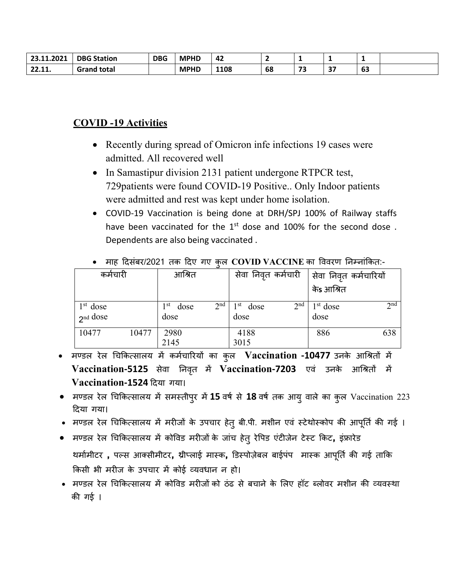| 23.11.2021      | <b>DBG Station</b>          | <b>DBG</b> | <b>MPHD</b> | -42  |    |           |               |              |  |
|-----------------|-----------------------------|------------|-------------|------|----|-----------|---------------|--------------|--|
| 22.44<br>22.II. | <sup>1</sup> total<br>Grand |            | <b>MPHD</b> | 1108 | 68 | 73<br>ں ، | $\sim$ $\sim$ | $\sim$<br>כס |  |

## **COVID-19 Activities**

- Recently during spread of Omicron infe infections 19 cases were admitted. All recovered well
- In Samastipur division 2131 patient undergone RTPCR test, 729 patients were found COVID-19 Positive.. Only Indoor patients were admitted and rest was kept under home isolation.
- COVID-19 Vaccination is being done at DRH/SPJ 100% of Railway staffs have been vaccinated for the 1<sup>st</sup> dose and 100% for the second dose. Dependents are also being vaccinated.

| कर्मचारी               |       | आश्रित               |                 | सेवा निवृत कर्मचारी |                 | सेवा निवृत कर्मचारियों |                 |  |
|------------------------|-------|----------------------|-----------------|---------------------|-----------------|------------------------|-----------------|--|
|                        |       |                      |                 |                     |                 | केs आश्रित             |                 |  |
| $1st$ dose<br>2nd dose |       | 1 st<br>dose<br>dose | 2 <sup>nd</sup> | st<br>dose<br>dose  | 2 <sup>nd</sup> | $1st$ dose<br>dose     | 2 <sup>nd</sup> |  |
| 10477                  | 10477 | 2980<br>2145         |                 | 4188<br>3015        |                 | 886                    | 638             |  |

#### माह दिसंबर/2021 तक दिए गए कल  $\operatorname{COVID}$   $\operatorname{VACCINE}$  का विवरण निम्नांकित:-

- मण्डल रेल चिकित्सालय में कर्मचारियों का कुल Vaccination -10477 उनके आश्रितों में Vaccination-5125 सेवा निवृत में Vaccination-7203 एवं उनके आश्रितों में Vaccination-1524 दिया गया।
- मण्डल रेल चिकित्सालय में समस्तीपुर में 15 वर्ष से 18 वर्ष तक आयु वाले का कुल Vaccination 223 दिया गया।
- मण्डल रेल चिकित्सालय में मरीजों के उपचार हेतु बी.पी. मशीन एवं स्टेथोस्कोप की आपूर्ति की गई ।
- मण्डल रेल चिकित्सालय में कोविड मरीजों के जांच हेतु रेपिड एंटीजेन टेस्ट किट, इंफ्रारेड थर्मामीटर), पल्स आक्सीमीटर, थ्रीप्लाई मास्क, डिस्पोज़ेबल बाईपंप) मास्क आपूर्ति की गई ताकि किसी भी मरीज के उपचार में कोई व्यवधान न हो।
- मण्डल रेल चिकित्सालय में कोविड मरीजों को ठंढ से बचाने के लिए हॉट ब्लोवर मशीन की व्यवस्था की गई ।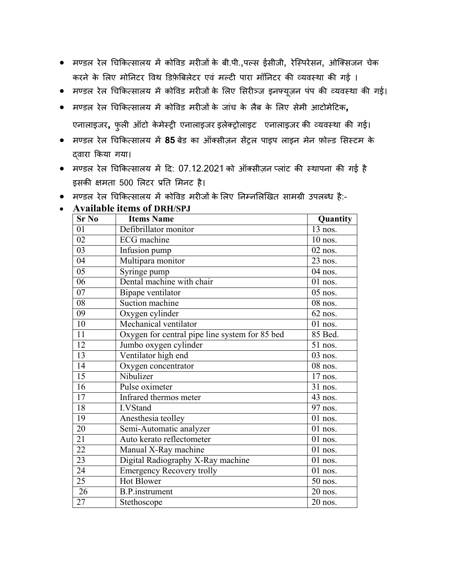- मण्डल रेल चिकित्सालय में कोविड मरीजों के बी.पी.,पल्स ईसीजी, रेस्पिरेसन, ओक्सिजन चेक करने के लिए मोनिटर विथ डिफ़ेबिलेटर एवं मल्टी पारा मॉनिटर की व्यवस्था की गई ।
- मण्डल रेल चिकित्सालय में कोविड मरीजों के लिए सिरीञ्ज इनफ्यूज़न पंप की व्यवस्था की गई।
- मण्डल रेल �च�कत्सालय म� को�वड मर�ज� के जांच के लैब के �लए सेमी आटोमे�टक**,** एनालाइजर, फुली ऑटो केमेस्ट्री एनालाइजर इलेक्ट्रोलाइट एनालाइजर की व्यवस्था की गई।
- मण्डल रेल �च�कत्सालय म� **85** बेड का ऑक्सीज़न स�ट्रल पाइप लाइन मेन फ़ोल्ड �सस्टम के द्वारा �कया गया।
- $\bullet$  मण्डल रेल चिकित्सालय में दि: 07.12.2021 को ऑक्सीज़न प्लांट की स्थापना की गई है इसकी क्षमता 500 लिटर प्रति मिनट है।
- मण्डल रेल चिकित्सालय में कोविड मरीजों के लिए निम्नलिखित सामग्री उपलब्ध है:-

| <b>Sr No</b>    | <b>Items Name</b>                              | Quantity              |
|-----------------|------------------------------------------------|-----------------------|
| 01              | Defibrillator monitor                          | 13 nos.               |
| $\overline{02}$ | $EC\overline{G}$ machine                       | $10$ nos.             |
| 03              | Infusion pump                                  | $02$ nos.             |
| 04              | Multipara monitor                              | 23 nos.               |
| 05              | Syringe pump                                   | 04 nos.               |
| 06              | Dental machine with chair                      | $01$ nos.             |
| 07              | Bipape ventilator                              | 05 nos.               |
| 08              | Suction machine                                | $\overline{0}8$ nos.  |
| 09              | Oxygen cylinder                                | 62 nos.               |
| 10              | Mechanical ventilator                          | $01$ nos.             |
| 11              | Oxygen for central pipe line system for 85 bed | 85 Bed.               |
| 12              | Jumbo oxygen cylinder                          | 51 nos.               |
| 13              | Ventilator high end                            | 03 nos.               |
| 14              | Oxygen concentrator                            | $\overline{0}8$ nos.  |
| 15              | Nibulizer                                      | $17$ nos.             |
| $\overline{16}$ | Pulse oximeter                                 | 31 nos.               |
| $\overline{17}$ | <b>Infrared thermos meter</b>                  | 43 nos.               |
| 18              | I.VStand                                       | 97 nos.               |
| 19              | Anesthesia teolley                             | $\overline{0}$ l nos. |
| $\overline{20}$ | Semi-Automatic analyzer                        | $\overline{0}$ 1 nos. |
| 21              | Auto kerato reflectometer                      | $01$ nos.             |
| $\overline{22}$ | Manual X-Ray machine                           | $01$ nos.             |
| $\overline{23}$ | Digital Radiography X-Ray machine              | 01 nos.               |
| 24              | <b>Emergency Recovery trolly</b>               | $01$ nos.             |
| $\overline{25}$ | Hot Blower                                     | 50 nos.               |
| $\overline{26}$ | <b>B.P.</b> instrument                         | 20 nos.               |
| 27              | Stethoscope                                    | 20 nos.               |

#### • **Available items of DRH/SPJ**